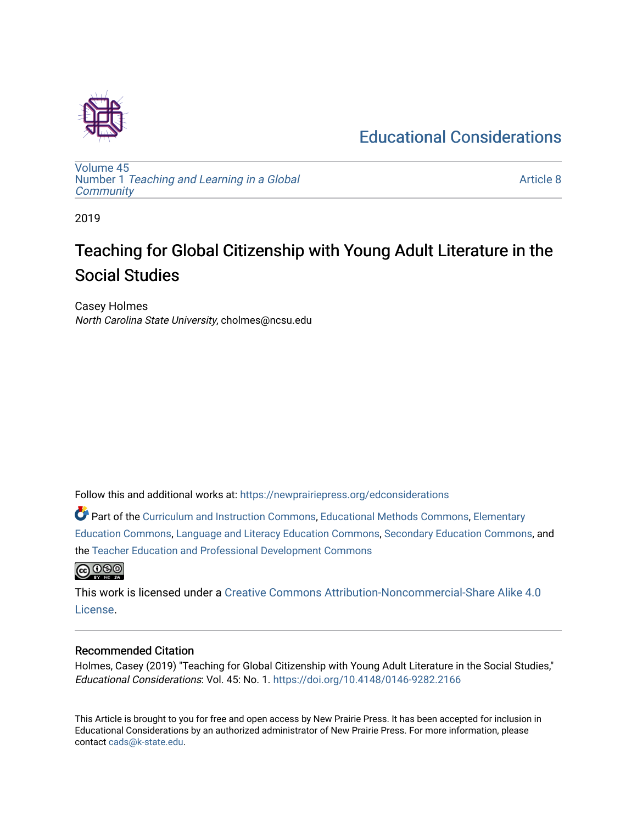### [Educational Considerations](https://newprairiepress.org/edconsiderations)



[Volume 45](https://newprairiepress.org/edconsiderations/vol45) Number 1 [Teaching and Learning in a Global](https://newprairiepress.org/edconsiderations/vol45/iss1)  **[Community](https://newprairiepress.org/edconsiderations/vol45/iss1)** 

[Article 8](https://newprairiepress.org/edconsiderations/vol45/iss1/8) 

2019

# Teaching for Global Citizenship with Young Adult Literature in the Social Studies

Casey Holmes North Carolina State University, cholmes@ncsu.edu

Follow this and additional works at: [https://newprairiepress.org/edconsiderations](https://newprairiepress.org/edconsiderations?utm_source=newprairiepress.org%2Fedconsiderations%2Fvol45%2Fiss1%2F8&utm_medium=PDF&utm_campaign=PDFCoverPages) 

Part of the [Curriculum and Instruction Commons,](http://network.bepress.com/hgg/discipline/786?utm_source=newprairiepress.org%2Fedconsiderations%2Fvol45%2Fiss1%2F8&utm_medium=PDF&utm_campaign=PDFCoverPages) [Educational Methods Commons,](http://network.bepress.com/hgg/discipline/1227?utm_source=newprairiepress.org%2Fedconsiderations%2Fvol45%2Fiss1%2F8&utm_medium=PDF&utm_campaign=PDFCoverPages) [Elementary](http://network.bepress.com/hgg/discipline/1378?utm_source=newprairiepress.org%2Fedconsiderations%2Fvol45%2Fiss1%2F8&utm_medium=PDF&utm_campaign=PDFCoverPages) [Education Commons,](http://network.bepress.com/hgg/discipline/1378?utm_source=newprairiepress.org%2Fedconsiderations%2Fvol45%2Fiss1%2F8&utm_medium=PDF&utm_campaign=PDFCoverPages) [Language and Literacy Education Commons](http://network.bepress.com/hgg/discipline/1380?utm_source=newprairiepress.org%2Fedconsiderations%2Fvol45%2Fiss1%2F8&utm_medium=PDF&utm_campaign=PDFCoverPages), [Secondary Education Commons,](http://network.bepress.com/hgg/discipline/1382?utm_source=newprairiepress.org%2Fedconsiderations%2Fvol45%2Fiss1%2F8&utm_medium=PDF&utm_campaign=PDFCoverPages) and the [Teacher Education and Professional Development Commons](http://network.bepress.com/hgg/discipline/803?utm_source=newprairiepress.org%2Fedconsiderations%2Fvol45%2Fiss1%2F8&utm_medium=PDF&utm_campaign=PDFCoverPages) 



This work is licensed under a [Creative Commons Attribution-Noncommercial-Share Alike 4.0](https://creativecommons.org/licenses/by-nc-sa/4.0/) [License.](https://creativecommons.org/licenses/by-nc-sa/4.0/)

#### Recommended Citation

Holmes, Casey (2019) "Teaching for Global Citizenship with Young Adult Literature in the Social Studies," Educational Considerations: Vol. 45: No. 1. <https://doi.org/10.4148/0146-9282.2166>

This Article is brought to you for free and open access by New Prairie Press. It has been accepted for inclusion in Educational Considerations by an authorized administrator of New Prairie Press. For more information, please contact [cads@k-state.edu](mailto:cads@k-state.edu).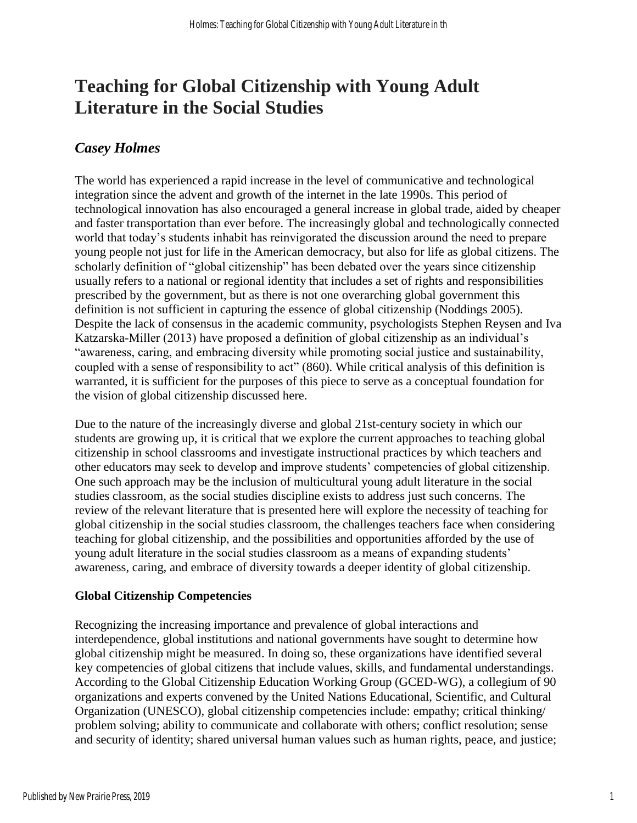## **Teaching for Global Citizenship with Young Adult Literature in the Social Studies**

### *Casey Holmes*

The world has experienced a rapid increase in the level of communicative and technological integration since the advent and growth of the internet in the late 1990s. This period of technological innovation has also encouraged a general increase in global trade, aided by cheaper and faster transportation than ever before. The increasingly global and technologically connected world that today's students inhabit has reinvigorated the discussion around the need to prepare young people not just for life in the American democracy, but also for life as global citizens. The scholarly definition of "global citizenship" has been debated over the years since citizenship usually refers to a national or regional identity that includes a set of rights and responsibilities prescribed by the government, but as there is not one overarching global government this definition is not sufficient in capturing the essence of global citizenship (Noddings 2005). Despite the lack of consensus in the academic community, psychologists Stephen Reysen and Iva Katzarska-Miller (2013) have proposed a definition of global citizenship as an individual's "awareness, caring, and embracing diversity while promoting social justice and sustainability, coupled with a sense of responsibility to act" (860). While critical analysis of this definition is warranted, it is sufficient for the purposes of this piece to serve as a conceptual foundation for the vision of global citizenship discussed here.

Due to the nature of the increasingly diverse and global 21st-century society in which our students are growing up, it is critical that we explore the current approaches to teaching global citizenship in school classrooms and investigate instructional practices by which teachers and other educators may seek to develop and improve students' competencies of global citizenship. One such approach may be the inclusion of multicultural young adult literature in the social studies classroom, as the social studies discipline exists to address just such concerns. The review of the relevant literature that is presented here will explore the necessity of teaching for global citizenship in the social studies classroom, the challenges teachers face when considering teaching for global citizenship, and the possibilities and opportunities afforded by the use of young adult literature in the social studies classroom as a means of expanding students' awareness, caring, and embrace of diversity towards a deeper identity of global citizenship.

#### **Global Citizenship Competencies**

Recognizing the increasing importance and prevalence of global interactions and interdependence, global institutions and national governments have sought to determine how global citizenship might be measured. In doing so, these organizations have identified several key competencies of global citizens that include values, skills, and fundamental understandings. According to the Global Citizenship Education Working Group (GCED-WG), a collegium of 90 organizations and experts convened by the United Nations Educational, Scientific, and Cultural Organization (UNESCO), global citizenship competencies include: empathy; critical thinking/ problem solving; ability to communicate and collaborate with others; conflict resolution; sense and security of identity; shared universal human values such as human rights, peace, and justice;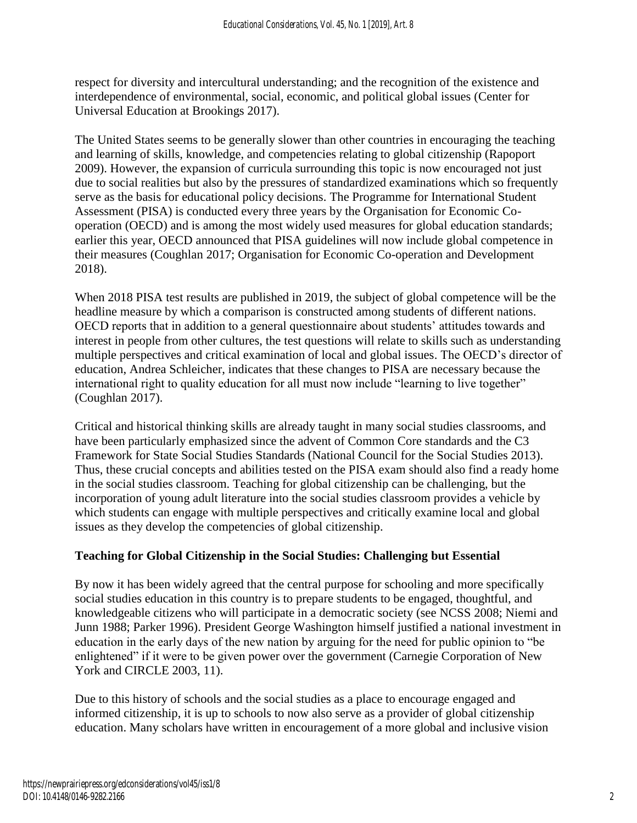respect for diversity and intercultural understanding; and the recognition of the existence and interdependence of environmental, social, economic, and political global issues (Center for Universal Education at Brookings 2017).

The United States seems to be generally slower than other countries in encouraging the teaching and learning of skills, knowledge, and competencies relating to global citizenship (Rapoport 2009). However, the expansion of curricula surrounding this topic is now encouraged not just due to social realities but also by the pressures of standardized examinations which so frequently serve as the basis for educational policy decisions. The Programme for International Student Assessment (PISA) is conducted every three years by the Organisation for Economic Cooperation (OECD) and is among the most widely used measures for global education standards; earlier this year, OECD announced that PISA guidelines will now include global competence in their measures (Coughlan 2017; Organisation for Economic Co-operation and Development 2018).

When 2018 PISA test results are published in 2019, the subject of global competence will be the headline measure by which a comparison is constructed among students of different nations. OECD reports that in addition to a general questionnaire about students' attitudes towards and interest in people from other cultures, the test questions will relate to skills such as understanding multiple perspectives and critical examination of local and global issues. The OECD's director of education, Andrea Schleicher, indicates that these changes to PISA are necessary because the international right to quality education for all must now include "learning to live together" (Coughlan 2017).

Critical and historical thinking skills are already taught in many social studies classrooms, and have been particularly emphasized since the advent of Common Core standards and the C3 Framework for State Social Studies Standards (National Council for the Social Studies 2013). Thus, these crucial concepts and abilities tested on the PISA exam should also find a ready home in the social studies classroom. Teaching for global citizenship can be challenging, but the incorporation of young adult literature into the social studies classroom provides a vehicle by which students can engage with multiple perspectives and critically examine local and global issues as they develop the competencies of global citizenship.

#### **Teaching for Global Citizenship in the Social Studies: Challenging but Essential**

By now it has been widely agreed that the central purpose for schooling and more specifically social studies education in this country is to prepare students to be engaged, thoughtful, and knowledgeable citizens who will participate in a democratic society (see NCSS 2008; Niemi and Junn 1988; Parker 1996). President George Washington himself justified a national investment in education in the early days of the new nation by arguing for the need for public opinion to "be enlightened" if it were to be given power over the government (Carnegie Corporation of New York and CIRCLE 2003, 11).

Due to this history of schools and the social studies as a place to encourage engaged and informed citizenship, it is up to schools to now also serve as a provider of global citizenship education. Many scholars have written in encouragement of a more global and inclusive vision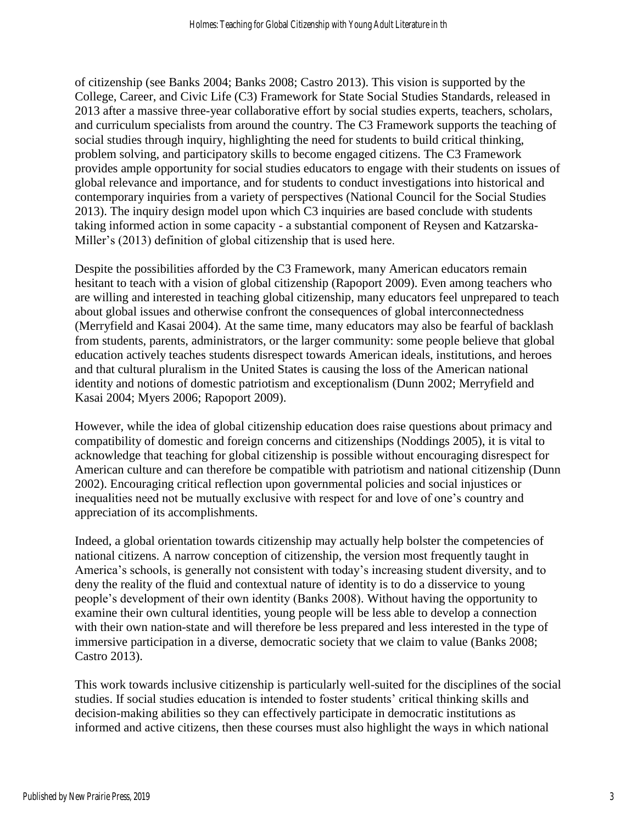of citizenship (see Banks 2004; Banks 2008; Castro 2013). This vision is supported by the College, Career, and Civic Life (C3) Framework for State Social Studies Standards, released in 2013 after a massive three-year collaborative effort by social studies experts, teachers, scholars, and curriculum specialists from around the country. The C3 Framework supports the teaching of social studies through inquiry, highlighting the need for students to build critical thinking, problem solving, and participatory skills to become engaged citizens. The C3 Framework provides ample opportunity for social studies educators to engage with their students on issues of global relevance and importance, and for students to conduct investigations into historical and contemporary inquiries from a variety of perspectives (National Council for the Social Studies 2013). The inquiry design model upon which C3 inquiries are based conclude with students taking informed action in some capacity - a substantial component of Reysen and Katzarska-Miller's (2013) definition of global citizenship that is used here.

Despite the possibilities afforded by the C3 Framework, many American educators remain hesitant to teach with a vision of global citizenship (Rapoport 2009). Even among teachers who are willing and interested in teaching global citizenship, many educators feel unprepared to teach about global issues and otherwise confront the consequences of global interconnectedness (Merryfield and Kasai 2004). At the same time, many educators may also be fearful of backlash from students, parents, administrators, or the larger community: some people believe that global education actively teaches students disrespect towards American ideals, institutions, and heroes and that cultural pluralism in the United States is causing the loss of the American national identity and notions of domestic patriotism and exceptionalism (Dunn 2002; Merryfield and Kasai 2004; Myers 2006; Rapoport 2009).

However, while the idea of global citizenship education does raise questions about primacy and compatibility of domestic and foreign concerns and citizenships (Noddings 2005), it is vital to acknowledge that teaching for global citizenship is possible without encouraging disrespect for American culture and can therefore be compatible with patriotism and national citizenship (Dunn 2002). Encouraging critical reflection upon governmental policies and social injustices or inequalities need not be mutually exclusive with respect for and love of one's country and appreciation of its accomplishments.

Indeed, a global orientation towards citizenship may actually help bolster the competencies of national citizens. A narrow conception of citizenship, the version most frequently taught in America's schools, is generally not consistent with today's increasing student diversity, and to deny the reality of the fluid and contextual nature of identity is to do a disservice to young people's development of their own identity (Banks 2008). Without having the opportunity to examine their own cultural identities, young people will be less able to develop a connection with their own nation-state and will therefore be less prepared and less interested in the type of immersive participation in a diverse, democratic society that we claim to value (Banks 2008; Castro 2013).

This work towards inclusive citizenship is particularly well-suited for the disciplines of the social studies. If social studies education is intended to foster students' critical thinking skills and decision-making abilities so they can effectively participate in democratic institutions as informed and active citizens, then these courses must also highlight the ways in which national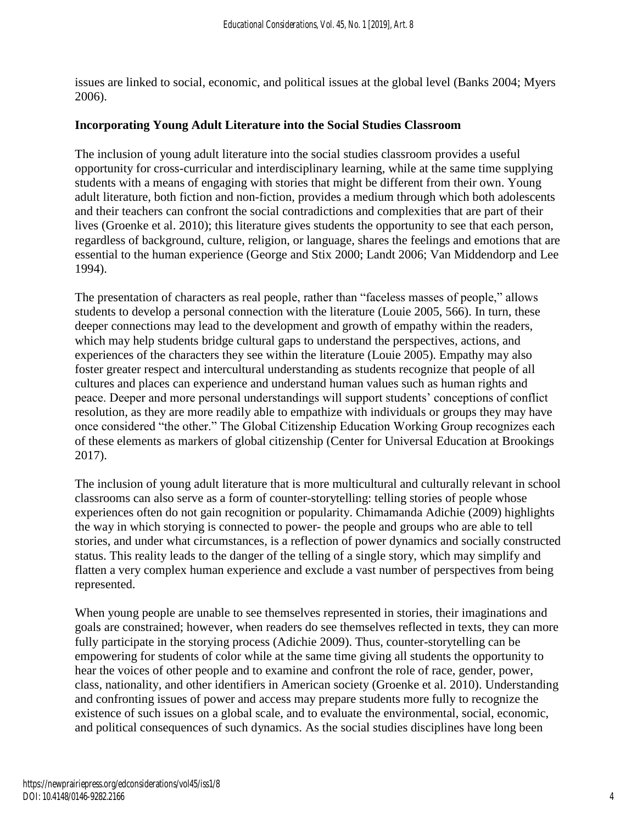issues are linked to social, economic, and political issues at the global level (Banks 2004; Myers 2006).

#### **Incorporating Young Adult Literature into the Social Studies Classroom**

The inclusion of young adult literature into the social studies classroom provides a useful opportunity for cross-curricular and interdisciplinary learning, while at the same time supplying students with a means of engaging with stories that might be different from their own. Young adult literature, both fiction and non-fiction, provides a medium through which both adolescents and their teachers can confront the social contradictions and complexities that are part of their lives (Groenke et al. 2010); this literature gives students the opportunity to see that each person, regardless of background, culture, religion, or language, shares the feelings and emotions that are essential to the human experience (George and Stix 2000; Landt 2006; Van Middendorp and Lee 1994).

The presentation of characters as real people, rather than "faceless masses of people," allows students to develop a personal connection with the literature (Louie 2005, 566). In turn, these deeper connections may lead to the development and growth of empathy within the readers, which may help students bridge cultural gaps to understand the perspectives, actions, and experiences of the characters they see within the literature (Louie 2005). Empathy may also foster greater respect and intercultural understanding as students recognize that people of all cultures and places can experience and understand human values such as human rights and peace. Deeper and more personal understandings will support students' conceptions of conflict resolution, as they are more readily able to empathize with individuals or groups they may have once considered "the other." The Global Citizenship Education Working Group recognizes each of these elements as markers of global citizenship (Center for Universal Education at Brookings 2017).

The inclusion of young adult literature that is more multicultural and culturally relevant in school classrooms can also serve as a form of counter-storytelling: telling stories of people whose experiences often do not gain recognition or popularity. Chimamanda Adichie (2009) highlights the way in which storying is connected to power- the people and groups who are able to tell stories, and under what circumstances, is a reflection of power dynamics and socially constructed status. This reality leads to the danger of the telling of a single story, which may simplify and flatten a very complex human experience and exclude a vast number of perspectives from being represented.

When young people are unable to see themselves represented in stories, their imaginations and goals are constrained; however, when readers do see themselves reflected in texts, they can more fully participate in the storying process (Adichie 2009). Thus, counter-storytelling can be empowering for students of color while at the same time giving all students the opportunity to hear the voices of other people and to examine and confront the role of race, gender, power, class, nationality, and other identifiers in American society (Groenke et al. 2010). Understanding and confronting issues of power and access may prepare students more fully to recognize the existence of such issues on a global scale, and to evaluate the environmental, social, economic, and political consequences of such dynamics. As the social studies disciplines have long been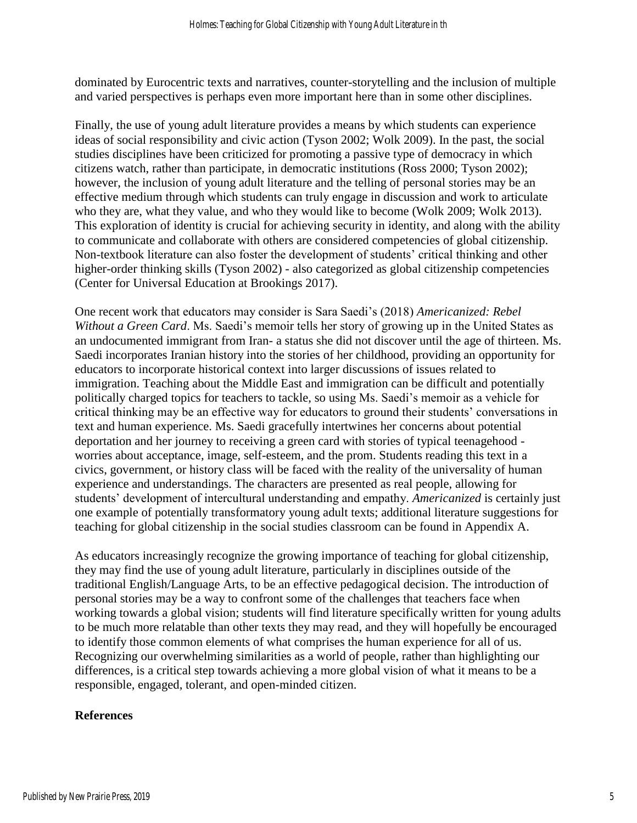dominated by Eurocentric texts and narratives, counter-storytelling and the inclusion of multiple and varied perspectives is perhaps even more important here than in some other disciplines.

Finally, the use of young adult literature provides a means by which students can experience ideas of social responsibility and civic action (Tyson 2002; Wolk 2009). In the past, the social studies disciplines have been criticized for promoting a passive type of democracy in which citizens watch, rather than participate, in democratic institutions (Ross 2000; Tyson 2002); however, the inclusion of young adult literature and the telling of personal stories may be an effective medium through which students can truly engage in discussion and work to articulate who they are, what they value, and who they would like to become (Wolk 2009; Wolk 2013). This exploration of identity is crucial for achieving security in identity, and along with the ability to communicate and collaborate with others are considered competencies of global citizenship. Non-textbook literature can also foster the development of students' critical thinking and other higher-order thinking skills (Tyson 2002) - also categorized as global citizenship competencies (Center for Universal Education at Brookings 2017).

One recent work that educators may consider is Sara Saedi's (2018) *Americanized: Rebel Without a Green Card*. Ms. Saedi's memoir tells her story of growing up in the United States as an undocumented immigrant from Iran- a status she did not discover until the age of thirteen. Ms. Saedi incorporates Iranian history into the stories of her childhood, providing an opportunity for educators to incorporate historical context into larger discussions of issues related to immigration. Teaching about the Middle East and immigration can be difficult and potentially politically charged topics for teachers to tackle, so using Ms. Saedi's memoir as a vehicle for critical thinking may be an effective way for educators to ground their students' conversations in text and human experience. Ms. Saedi gracefully intertwines her concerns about potential deportation and her journey to receiving a green card with stories of typical teenagehood worries about acceptance, image, self-esteem, and the prom. Students reading this text in a civics, government, or history class will be faced with the reality of the universality of human experience and understandings. The characters are presented as real people, allowing for students' development of intercultural understanding and empathy. *Americanized* is certainly just one example of potentially transformatory young adult texts; additional literature suggestions for teaching for global citizenship in the social studies classroom can be found in Appendix A.

As educators increasingly recognize the growing importance of teaching for global citizenship, they may find the use of young adult literature, particularly in disciplines outside of the traditional English/Language Arts, to be an effective pedagogical decision. The introduction of personal stories may be a way to confront some of the challenges that teachers face when working towards a global vision; students will find literature specifically written for young adults to be much more relatable than other texts they may read, and they will hopefully be encouraged to identify those common elements of what comprises the human experience for all of us. Recognizing our overwhelming similarities as a world of people, rather than highlighting our differences, is a critical step towards achieving a more global vision of what it means to be a responsible, engaged, tolerant, and open-minded citizen.

#### **References**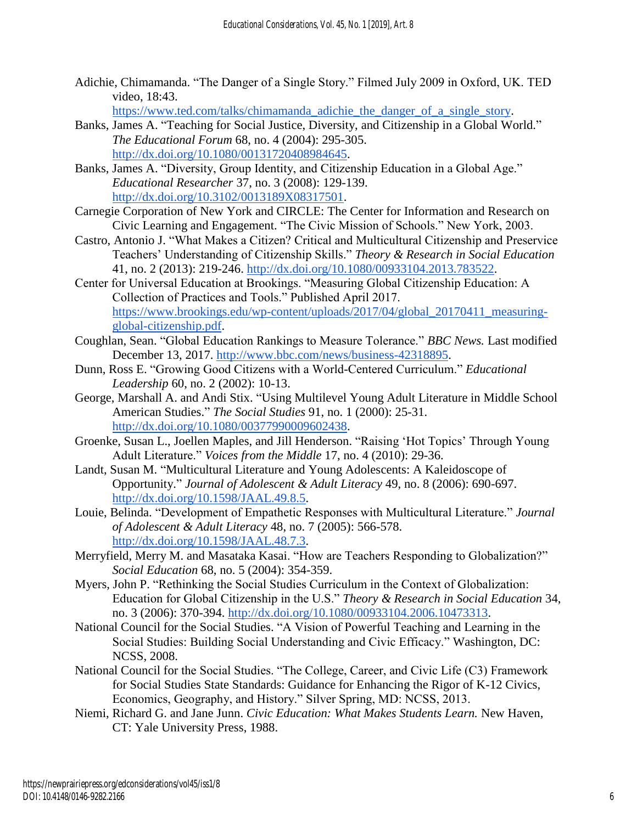Adichie, Chimamanda. "The Danger of a Single Story." Filmed July 2009 in Oxford, UK. TED video, 18:43.

[https://www.ted.com/talks/chimamanda\\_adichie\\_the\\_danger\\_of\\_a\\_single\\_story.](https://www.ted.com/talks/chimamanda_adichie_the_danger_of_a_single_story/up-next)

- Banks, James A. "Teaching for Social Justice, Diversity, and Citizenship in a Global World." *The Educational Forum* 68, no. 4 (2004): 295-305. [http://dx.doi.org/10.1080/00131720408984645.](http://dx.doi.org/10.1080/00131720408984645)
- Banks, James A. "Diversity, Group Identity, and Citizenship Education in a Global Age." *Educational Researcher* 37, no. 3 (2008): 129-139. [http://dx.doi.org/10.3102/0013189X08317501.](http://dx.doi.org/10.3102/0013189X08317501)
- Carnegie Corporation of New York and CIRCLE: The Center for Information and Research on Civic Learning and Engagement. "The Civic Mission of Schools." New York, 2003.
- Castro, Antonio J. "What Makes a Citizen? Critical and Multicultural Citizenship and Preservice Teachers' Understanding of Citizenship Skills." *Theory & Research in Social Education* 41, no. 2 (2013): 219-246. [http://dx.doi.org/10.1080/00933104.2013.783522.](http://dx.doi.org/10.1080/00933104.2013.783522)
- Center for Universal Education at Brookings. "Measuring Global Citizenship Education: A Collection of Practices and Tools." Published April 2017. [https://www.brookings.edu/wp-content/uploads/2017/04/global\\_20170411\\_measuring](https://www.brookings.edu/wp-content/uploads/2017/04/global_20170411_measuring-global-citizenship.pdf)[global-citizenship.pdf.](https://www.brookings.edu/wp-content/uploads/2017/04/global_20170411_measuring-global-citizenship.pdf)
- Coughlan, Sean. "Global Education Rankings to Measure Tolerance." *BBC News.* Last modified December 13, 2017. [http://www.bbc.com/news/business-42318895.](http://www.bbc.com/news/business-42318895)
- Dunn, Ross E. "Growing Good Citizens with a World-Centered Curriculum." *Educational Leadership* 60, no. 2 (2002): 10-13.
- George, Marshall A. and Andi Stix. "Using Multilevel Young Adult Literature in Middle School American Studies." *The Social Studies* 91, no. 1 (2000): 25-31. [http://dx.doi.org/10.1080/00377990009602438.](http://dx.doi.org/10.1080/00377990009602438)
- Groenke, Susan L., Joellen Maples, and Jill Henderson. "Raising 'Hot Topics' Through Young Adult Literature." *Voices from the Middle* 17, no. 4 (2010): 29-36.
- Landt, Susan M. "Multicultural Literature and Young Adolescents: A Kaleidoscope of Opportunity." *Journal of Adolescent & Adult Literacy* 49, no. 8 (2006): 690-697. [http://dx.doi.org/10.1598/JAAL.49.8.5.](http://dx.doi.org/10.1598/JAAL.49.8.5)
- Louie, Belinda. "Development of Empathetic Responses with Multicultural Literature." *Journal of Adolescent & Adult Literacy* 48, no. 7 (2005): 566-578. [http://dx.doi.org/10.1598/JAAL.48.7.3.](http://dx.doi.org/10.1598/JAAL.48.7.3)
- Merryfield, Merry M. and Masataka Kasai. "How are Teachers Responding to Globalization?" *Social Education* 68, no. 5 (2004): 354-359.
- Myers, John P. "Rethinking the Social Studies Curriculum in the Context of Globalization: Education for Global Citizenship in the U.S." *Theory & Research in Social Education* 34, no. 3 (2006): 370-394. [http://dx.doi.org/10.1080/00933104.2006.10473313.](http://dx.doi.org/10.1080/00933104.2006.10473313)
- National Council for the Social Studies. "A Vision of Powerful Teaching and Learning in the Social Studies: Building Social Understanding and Civic Efficacy." Washington, DC: NCSS, 2008.
- National Council for the Social Studies. "The College, Career, and Civic Life (C3) Framework for Social Studies State Standards: Guidance for Enhancing the Rigor of K-12 Civics, Economics, Geography, and History." Silver Spring, MD: NCSS, 2013.
- Niemi, Richard G. and Jane Junn. *Civic Education: What Makes Students Learn.* New Haven, CT: Yale University Press, 1988.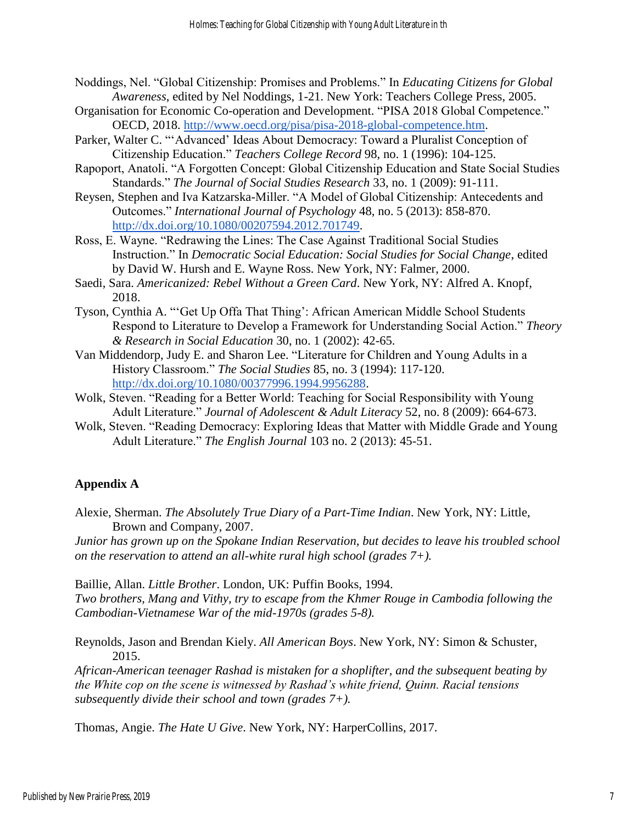- Noddings, Nel. "Global Citizenship: Promises and Problems." In *Educating Citizens for Global Awareness*, edited by Nel Noddings, 1-21. New York: Teachers College Press, 2005.
- Organisation for Economic Co-operation and Development. "PISA 2018 Global Competence." OECD, 2018. [http://www.oecd.org/pisa/pisa-2018-global-competence.htm.](http://www.oecd.org/pisa/pisa-2018-global-competence.htm)
- Parker, Walter C. "'Advanced' Ideas About Democracy: Toward a Pluralist Conception of Citizenship Education." *Teachers College Record* 98, no. 1 (1996): 104-125.
- Rapoport, Anatoli. "A Forgotten Concept: Global Citizenship Education and State Social Studies Standards." *The Journal of Social Studies Research* 33, no. 1 (2009): 91-111.
- Reysen, Stephen and Iva Katzarska-Miller. "A Model of Global Citizenship: Antecedents and Outcomes." *International Journal of Psychology* 48, no. 5 (2013): 858-870. [http://dx.doi.org/10.1080/00207594.2012.701749.](http://dx.doi.org/10.1080/00207594.2012.701749)
- Ross, E. Wayne. "Redrawing the Lines: The Case Against Traditional Social Studies Instruction." In *Democratic Social Education: Social Studies for Social Change*, edited by David W. Hursh and E. Wayne Ross. New York, NY: Falmer, 2000.
- Saedi, Sara. *Americanized: Rebel Without a Green Card*. New York, NY: Alfred A. Knopf, 2018.
- Tyson, Cynthia A. "'Get Up Offa That Thing': African American Middle School Students Respond to Literature to Develop a Framework for Understanding Social Action." *Theory & Research in Social Education* 30, no. 1 (2002): 42-65.
- Van Middendorp, Judy E. and Sharon Lee. "Literature for Children and Young Adults in a History Classroom." *The Social Studies* 85, no. 3 (1994): 117-120. [http://dx.doi.org/10.1080/00377996.1994.9956288.](http://dx.doi.org/10.1080/00377996.1994.9956288)
- Wolk, Steven. "Reading for a Better World: Teaching for Social Responsibility with Young Adult Literature." *Journal of Adolescent & Adult Literacy* 52, no. 8 (2009): 664-673.
- Wolk, Steven. "Reading Democracy: Exploring Ideas that Matter with Middle Grade and Young Adult Literature." *The English Journal* 103 no. 2 (2013): 45-51.

#### **Appendix A**

Alexie, Sherman. *The Absolutely True Diary of a Part-Time Indian*. New York, NY: Little, Brown and Company, 2007.

*Junior has grown up on the Spokane Indian Reservation, but decides to leave his troubled school on the reservation to attend an all-white rural high school (grades 7+).*

Baillie, Allan. *Little Brother*. London, UK: Puffin Books, 1994.

*Two brothers, Mang and Vithy, try to escape from the Khmer Rouge in Cambodia following the Cambodian-Vietnamese War of the mid-1970s (grades 5-8).*

Reynolds, Jason and Brendan Kiely. *All American Boys*. New York, NY: Simon & Schuster, 2015.

*African-American teenager Rashad is mistaken for a shoplifter, and the subsequent beating by the White cop on the scene is witnessed by Rashad's white friend, Quinn. Racial tensions subsequently divide their school and town (grades 7+).*

Thomas, Angie. *The Hate U Give*. New York, NY: HarperCollins, 2017.